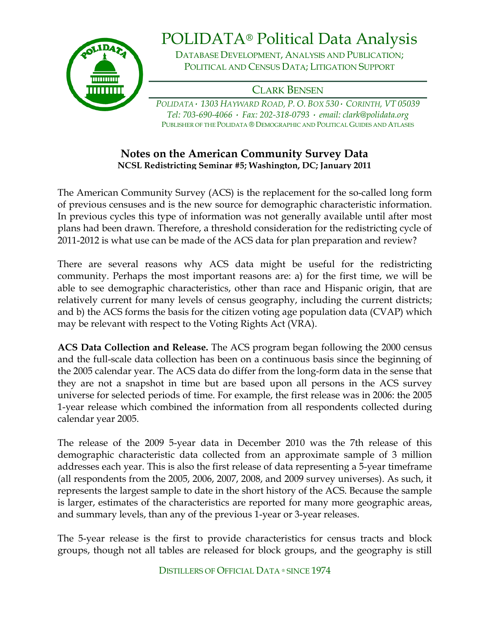

## POLIDATA® Political Data Analysis

DATABASE DEVELOPMENT, ANALYSIS AND PUBLICATION; POLITICAL AND CENSUS DATA; LITIGATION SUPPORT

CLARK BENSEN

*POLIDATA· 1303 HAYWARD ROAD, P. O. BOX 530· CORINTH, VT 05039 Tel: 703-690-4066 · Fax: 202-318-0793 · email: clark@polidata.org*  PUBLISHER OF THE POLIDATA ® DEMOGRAPHIC AND POLITICAL GUIDES AND ATLASES

## **Notes on the American Community Survey Data NCSL Redistricting Seminar #5; Washington, DC; January 2011**

The American Community Survey (ACS) is the replacement for the so-called long form of previous censuses and is the new source for demographic characteristic information. In previous cycles this type of information was not generally available until after most plans had been drawn. Therefore, a threshold consideration for the redistricting cycle of 2011-2012 is what use can be made of the ACS data for plan preparation and review?

There are several reasons why ACS data might be useful for the redistricting community. Perhaps the most important reasons are: a) for the first time, we will be able to see demographic characteristics, other than race and Hispanic origin, that are relatively current for many levels of census geography, including the current districts; and b) the ACS forms the basis for the citizen voting age population data (CVAP) which may be relevant with respect to the Voting Rights Act (VRA).

**ACS Data Collection and Release.** The ACS program began following the 2000 census and the full-scale data collection has been on a continuous basis since the beginning of the 2005 calendar year. The ACS data do differ from the long-form data in the sense that they are not a snapshot in time but are based upon all persons in the ACS survey universe for selected periods of time. For example, the first release was in 2006: the 2005 1-year release which combined the information from all respondents collected during calendar year 2005.

The release of the 2009 5-year data in December 2010 was the 7th release of this demographic characteristic data collected from an approximate sample of 3 million addresses each year. This is also the first release of data representing a 5-year timeframe (all respondents from the 2005, 2006, 2007, 2008, and 2009 survey universes). As such, it represents the largest sample to date in the short history of the ACS. Because the sample is larger, estimates of the characteristics are reported for many more geographic areas, and summary levels, than any of the previous 1-year or 3-year releases.

The 5-year release is the first to provide characteristics for census tracts and block groups, though not all tables are released for block groups, and the geography is still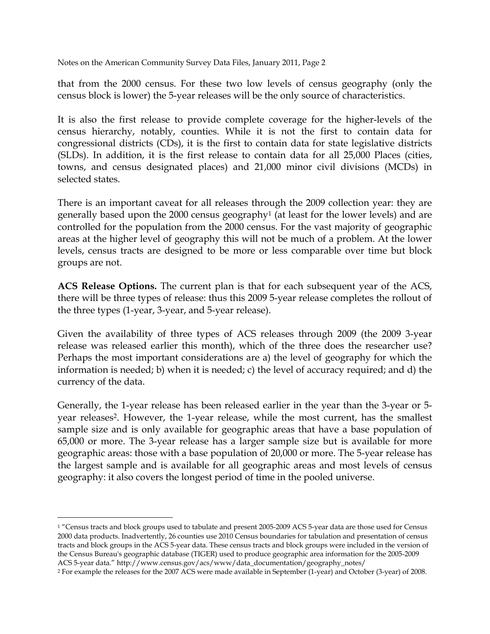that from the 2000 census. For these two low levels of census geography (only the census block is lower) the 5-year releases will be the only source of characteristics.

It is also the first release to provide complete coverage for the higher-levels of the census hierarchy, notably, counties. While it is not the first to contain data for congressional districts (CDs), it is the first to contain data for state legislative districts (SLDs). In addition, it is the first release to contain data for all 25,000 Places (cities, towns, and census designated places) and 21,000 minor civil divisions (MCDs) in selected states.

There is an important caveat for all releases through the 2009 collection year: they are generally based upon the 2000 census geography1 (at least for the lower levels) and are controlled for the population from the 2000 census. For the vast majority of geographic areas at the higher level of geography this will not be much of a problem. At the lower levels, census tracts are designed to be more or less comparable over time but block groups are not.

**ACS Release Options.** The current plan is that for each subsequent year of the ACS, there will be three types of release: thus this 2009 5-year release completes the rollout of the three types (1-year, 3-year, and 5-year release).

Given the availability of three types of ACS releases through 2009 (the 2009 3-year release was released earlier this month), which of the three does the researcher use? Perhaps the most important considerations are a) the level of geography for which the information is needed; b) when it is needed; c) the level of accuracy required; and d) the currency of the data.

Generally, the 1-year release has been released earlier in the year than the 3-year or 5 year releases2. However, the 1-year release, while the most current, has the smallest sample size and is only available for geographic areas that have a base population of 65,000 or more. The 3-year release has a larger sample size but is available for more geographic areas: those with a base population of 20,000 or more. The 5-year release has the largest sample and is available for all geographic areas and most levels of census geography: it also covers the longest period of time in the pooled universe.

-

<sup>1 &</sup>quot;Census tracts and block groups used to tabulate and present 2005-2009 ACS 5-year data are those used for Census 2000 data products. Inadvertently, 26 counties use 2010 Census boundaries for tabulation and presentation of census tracts and block groups in the ACS 5-year data. These census tracts and block groups were included in the version of the Census Bureau's geographic database (TIGER) used to produce geographic area information for the 2005-2009 ACS 5-year data." http://www.census.gov/acs/www/data\_documentation/geography\_notes/

<sup>2</sup> For example the releases for the 2007 ACS were made available in September (1-year) and October (3-year) of 2008.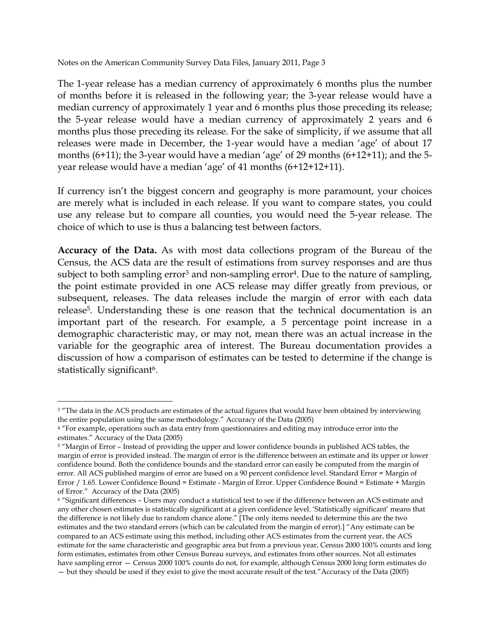The 1-year release has a median currency of approximately 6 months plus the number of months before it is released in the following year; the 3-year release would have a median currency of approximately 1 year and 6 months plus those preceding its release; the 5-year release would have a median currency of approximately 2 years and 6 months plus those preceding its release. For the sake of simplicity, if we assume that all releases were made in December, the 1-year would have a median 'age' of about 17 months (6+11); the 3-year would have a median 'age' of 29 months (6+12+11); and the 5 year release would have a median 'age' of 41 months (6+12+12+11).

If currency isn't the biggest concern and geography is more paramount, your choices are merely what is included in each release. If you want to compare states, you could use any release but to compare all counties, you would need the 5-year release. The choice of which to use is thus a balancing test between factors.

**Accuracy of the Data.** As with most data collections program of the Bureau of the Census, the ACS data are the result of estimations from survey responses and are thus subject to both sampling error<sup>3</sup> and non-sampling error<sup>4</sup>. Due to the nature of sampling, the point estimate provided in one ACS release may differ greatly from previous, or subsequent, releases. The data releases include the margin of error with each data release5. Understanding these is one reason that the technical documentation is an important part of the research. For example, a 5 percentage point increase in a demographic characteristic may, or may not, mean there was an actual increase in the variable for the geographic area of interest. The Bureau documentation provides a discussion of how a comparison of estimates can be tested to determine if the change is statistically significant<sup>6</sup>.

<u>.</u>

<sup>&</sup>lt;sup>3</sup> "The data in the ACS products are estimates of the actual figures that would have been obtained by interviewing the entire population using the same methodology." Accuracy of the Data (2005)

<sup>&</sup>lt;sup>4</sup> "For example, operations such as data entry from questionnaires and editing may introduce error into the estimates." Accuracy of the Data (2005)

<sup>5 &</sup>quot;Margin of Error – Instead of providing the upper and lower confidence bounds in published ACS tables, the margin of error is provided instead. The margin of error is the difference between an estimate and its upper or lower confidence bound. Both the confidence bounds and the standard error can easily be computed from the margin of error. All ACS published margins of error are based on a 90 percent confidence level. Standard Error = Margin of Error / 1.65. Lower Confidence Bound = Estimate - Margin of Error. Upper Confidence Bound = Estimate + Margin of Error." Accuracy of the Data (2005)

<sup>6 &</sup>quot;Significant differences – Users may conduct a statistical test to see if the difference between an ACS estimate and any other chosen estimates is statistically significant at a given confidence level. 'Statistically significant' means that the difference is not likely due to random chance alone." [The only items needed to determine this are the two estimates and the two standard errors (which can be calculated from the margin of error).] "Any estimate can be compared to an ACS estimate using this method, including other ACS estimates from the current year, the ACS estimate for the same characteristic and geographic area but from a previous year, Census 2000 100% counts and long form estimates, estimates from other Census Bureau surveys, and estimates from other sources. Not all estimates have sampling error — Census 2000 100% counts do not, for example, although Census 2000 long form estimates do — but they should be used if they exist to give the most accurate result of the test."Accuracy of the Data (2005)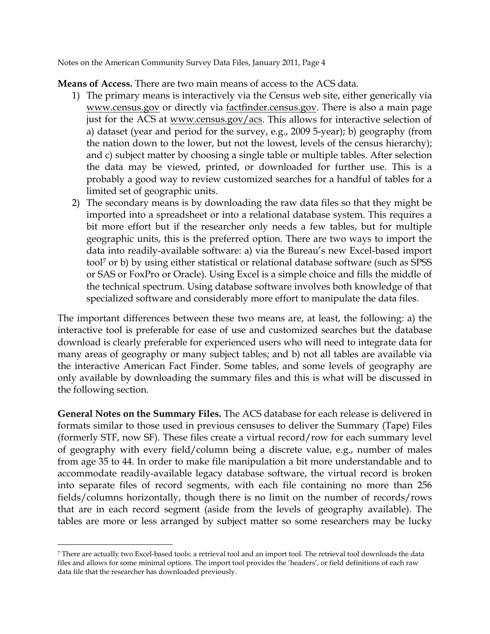**Means of Access.** There are two main means of access to the ACS data.

- 1) The primary means is interactively via the Census web site, either generically via www.census.gov or directly via factfinder.census.gov. There is also a main page just for the ACS at www.census.gov/acs. This allows for interactive selection of a) dataset (year and period for the survey, e.g., 2009 5-year); b) geography (from the nation down to the lower, but not the lowest, levels of the census hierarchy); and c) subject matter by choosing a single table or multiple tables. After selection the data may be viewed, printed, or downloaded for further use. This is a probably a good way to review customized searches for a handful of tables for a limited set of geographic units.
- 2) The secondary means is by downloading the raw data files so that they might be imported into a spreadsheet or into a relational database system. This requires a bit more effort but if the researcher only needs a few tables, but for multiple geographic units, this is the preferred option. There are two ways to import the data into readily-available software: a) via the Bureau's new Excel-based import tool7 or b) by using either statistical or relational database software (such as SPSS or SAS or FoxPro or Oracle). Using Excel is a simple choice and fills the middle of the technical spectrum. Using database software involves both knowledge of that specialized software and considerably more effort to manipulate the data files.

The important differences between these two means are, at least, the following: a) the interactive tool is preferable for ease of use and customized searches but the database download is clearly preferable for experienced users who will need to integrate data for many areas of geography or many subject tables; and b) not all tables are available via the interactive American Fact Finder. Some tables, and some levels of geography are only available by downloading the summary files and this is what will be discussed in the following section.

**General Notes on the Summary Files.** The ACS database for each release is delivered in formats similar to those used in previous censuses to deliver the Summary (Tape) Files (formerly STF, now SF). These files create a virtual record/row for each summary level of geography with every field/column being a discrete value, e.g., number of males from age 35 to 44. In order to make file manipulation a bit more understandable and to accommodate readily-available legacy database software, the virtual record is broken into separate files of record segments, with each file containing no more than 256 fields/columns horizontally, though there is no limit on the number of records/rows that are in each record segment (aside from the levels of geography available). The tables are more or less arranged by subject matter so some researchers may be lucky

<u>.</u>

<sup>7</sup> There are actually two Excel-based tools: a retrieval tool and an import tool. The retrieval tool downloads the data files and allows for some minimal options. The import tool provides the 'headers', or field definitions of each raw data file that the researcher has downloaded previously.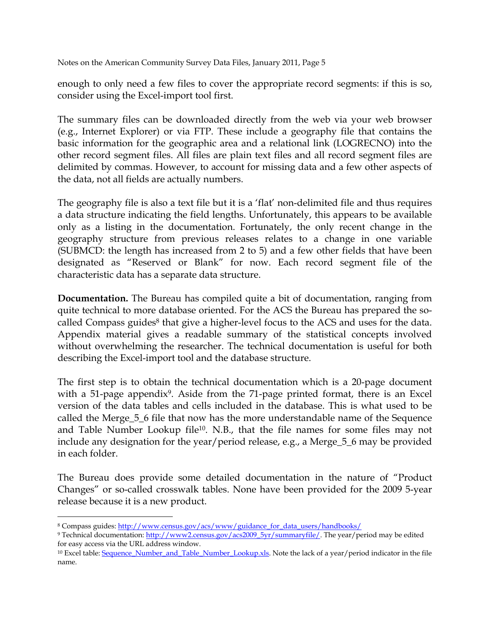enough to only need a few files to cover the appropriate record segments: if this is so, consider using the Excel-import tool first.

The summary files can be downloaded directly from the web via your web browser (e.g., Internet Explorer) or via FTP. These include a geography file that contains the basic information for the geographic area and a relational link (LOGRECNO) into the other record segment files. All files are plain text files and all record segment files are delimited by commas. However, to account for missing data and a few other aspects of the data, not all fields are actually numbers.

The geography file is also a text file but it is a 'flat' non-delimited file and thus requires a data structure indicating the field lengths. Unfortunately, this appears to be available only as a listing in the documentation. Fortunately, the only recent change in the geography structure from previous releases relates to a change in one variable (SUBMCD: the length has increased from 2 to 5) and a few other fields that have been designated as "Reserved or Blank" for now. Each record segment file of the characteristic data has a separate data structure.

**Documentation.** The Bureau has compiled quite a bit of documentation, ranging from quite technical to more database oriented. For the ACS the Bureau has prepared the socalled Compass guides<sup>8</sup> that give a higher-level focus to the ACS and uses for the data. Appendix material gives a readable summary of the statistical concepts involved without overwhelming the researcher. The technical documentation is useful for both describing the Excel-import tool and the database structure.

The first step is to obtain the technical documentation which is a 20-page document with a 51-page appendix<sup>9</sup>. Aside from the 71-page printed format, there is an Excel version of the data tables and cells included in the database. This is what used to be called the Merge\_5\_6 file that now has the more understandable name of the Sequence and Table Number Lookup file10. N.B., that the file names for some files may not include any designation for the year/period release, e.g., a Merge\_5\_6 may be provided in each folder.

The Bureau does provide some detailed documentation in the nature of "Product Changes" or so-called crosswalk tables. None have been provided for the 2009 5-year release because it is a new product.

<sup>-</sup>8 Compass guides: http://www.census.gov/acs/www/guidance\_for\_data\_users/handbooks/

<sup>9</sup> Technical documentation: http://www2.census.gov/acs2009\_5yr/summaryfile/. The year/period may be edited for easy access via the URL address window.

<sup>&</sup>lt;sup>10</sup> Excel table: Sequence\_Number\_and\_Table\_Number\_Lookup.xls. Note the lack of a year/period indicator in the file name.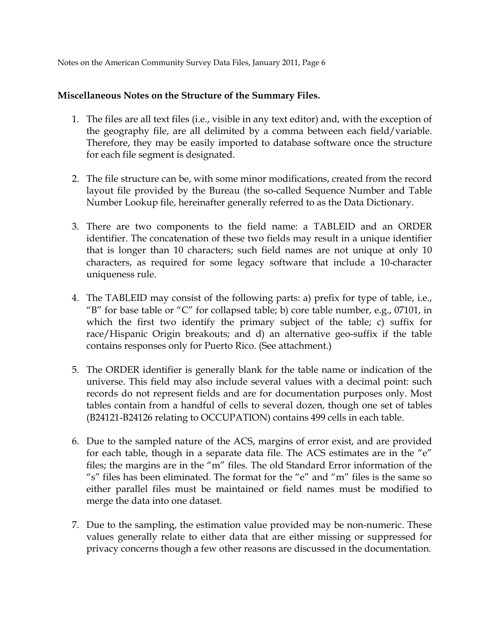## **Miscellaneous Notes on the Structure of the Summary Files.**

- 1. The files are all text files (i.e., visible in any text editor) and, with the exception of the geography file, are all delimited by a comma between each field/variable. Therefore, they may be easily imported to database software once the structure for each file segment is designated.
- 2. The file structure can be, with some minor modifications, created from the record layout file provided by the Bureau (the so-called Sequence Number and Table Number Lookup file, hereinafter generally referred to as the Data Dictionary.
- 3. There are two components to the field name: a TABLEID and an ORDER identifier. The concatenation of these two fields may result in a unique identifier that is longer than 10 characters; such field names are not unique at only 10 characters, as required for some legacy software that include a 10-character uniqueness rule.
- 4. The TABLEID may consist of the following parts: a) prefix for type of table, i.e., "B" for base table or "C" for collapsed table; b) core table number, e.g., 07101, in which the first two identify the primary subject of the table; c) suffix for race/Hispanic Origin breakouts; and d) an alternative geo-suffix if the table contains responses only for Puerto Rico. (See attachment.)
- 5. The ORDER identifier is generally blank for the table name or indication of the universe. This field may also include several values with a decimal point: such records do not represent fields and are for documentation purposes only. Most tables contain from a handful of cells to several dozen, though one set of tables (B24121-B24126 relating to OCCUPATION) contains 499 cells in each table.
- 6. Due to the sampled nature of the ACS, margins of error exist, and are provided for each table, though in a separate data file. The ACS estimates are in the "e" files; the margins are in the "m" files. The old Standard Error information of the "s" files has been eliminated. The format for the "e" and "m" files is the same so either parallel files must be maintained or field names must be modified to merge the data into one dataset.
- 7. Due to the sampling, the estimation value provided may be non-numeric. These values generally relate to either data that are either missing or suppressed for privacy concerns though a few other reasons are discussed in the documentation.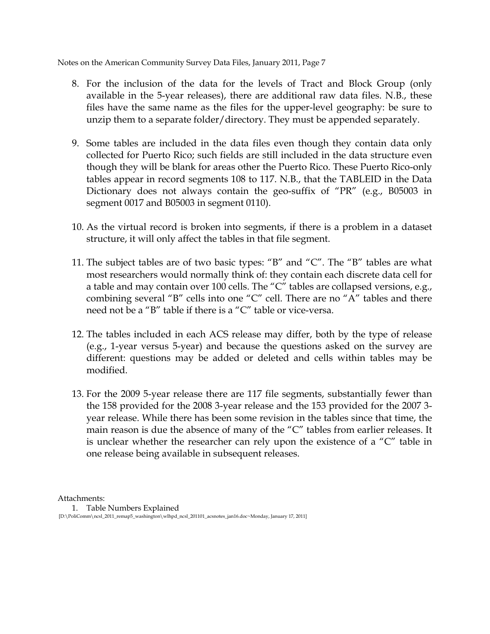- 8. For the inclusion of the data for the levels of Tract and Block Group (only available in the 5-year releases), there are additional raw data files. N.B., these files have the same name as the files for the upper-level geography: be sure to unzip them to a separate folder/directory. They must be appended separately.
- 9. Some tables are included in the data files even though they contain data only collected for Puerto Rico; such fields are still included in the data structure even though they will be blank for areas other the Puerto Rico. These Puerto Rico-only tables appear in record segments 108 to 117. N.B., that the TABLEID in the Data Dictionary does not always contain the geo-suffix of "PR" (e.g., B05003 in segment 0017 and B05003 in segment 0110).
- 10. As the virtual record is broken into segments, if there is a problem in a dataset structure, it will only affect the tables in that file segment.
- 11. The subject tables are of two basic types: "B" and "C". The "B" tables are what most researchers would normally think of: they contain each discrete data cell for a table and may contain over 100 cells. The "C" tables are collapsed versions, e.g., combining several "B" cells into one "C" cell. There are no "A" tables and there need not be a "B" table if there is a "C" table or vice-versa.
- 12. The tables included in each ACS release may differ, both by the type of release (e.g., 1-year versus 5-year) and because the questions asked on the survey are different: questions may be added or deleted and cells within tables may be modified.
- 13. For the 2009 5-year release there are 117 file segments, substantially fewer than the 158 provided for the 2008 3-year release and the 153 provided for the 2007 3 year release. While there has been some revision in the tables since that time, the main reason is due the absence of many of the "C" tables from earlier releases. It is unclear whether the researcher can rely upon the existence of a "C" table in one release being available in subsequent releases.

Attachments:

1. Table Numbers Explained [D:\PoliComm\ncsl\_2011\_remap5\_washington\wlhpd\_ncsl\_201101\_acsnotes\_jan16.doc~Monday, January 17, 2011]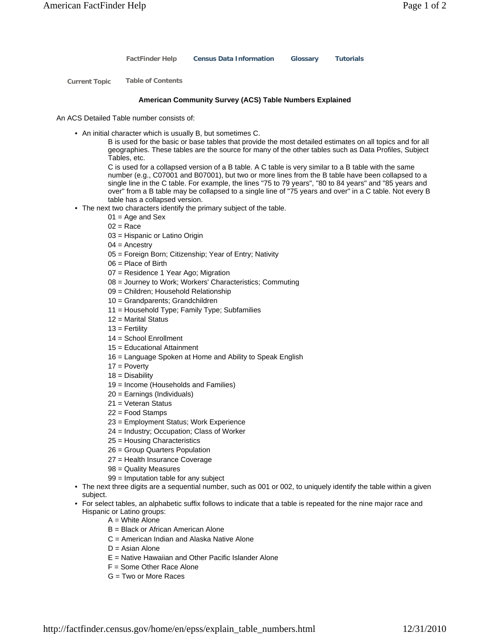**FactFinder Help Census Data Information Glossary Tutorials**

**Current Topic Table of Contents**

## **American Community Survey (ACS) Table Numbers Explained**

An ACS Detailed Table number consists of:

• An initial character which is usually B, but sometimes C.

B is used for the basic or base tables that provide the most detailed estimates on all topics and for all geographies. These tables are the source for many of the other tables such as Data Profiles, Subject Tables, etc.

C is used for a collapsed version of a B table. A C table is very similar to a B table with the same number (e.g., C07001 and B07001), but two or more lines from the B table have been collapsed to a single line in the C table. For example, the lines "75 to 79 years", "80 to 84 years" and "85 years and over" from a B table may be collapsed to a single line of "75 years and over" in a C table. Not every B table has a collapsed version.

- The next two characters identify the primary subject of the table.
	- $01 = Aqe$  and Sex
		- $02$  = Race
		- 03 = Hispanic or Latino Origin
		- $04 =$  Ancestry
		- 05 = Foreign Born; Citizenship; Year of Entry; Nativity
		- 06 = Place of Birth
		- 07 = Residence 1 Year Ago; Migration
		- 08 = Journey to Work; Workers' Characteristics; Commuting
		- 09 = Children; Household Relationship
		- 10 = Grandparents; Grandchildren
		- 11 = Household Type; Family Type; Subfamilies
		- $12$  = Marital Status
		- $13$  = Fertility
		- 14 = School Enrollment
		- 15 = Educational Attainment
		- 16 = Language Spoken at Home and Ability to Speak English
		- $17 =$  Poverty
		- $18 =$  Disability
		- 19 = Income (Households and Families)
		- 20 = Earnings (Individuals)
		- 21 = Veteran Status
	- 22 = Food Stamps
	- 23 = Employment Status; Work Experience
	- 24 = Industry; Occupation; Class of Worker
	- 25 = Housing Characteristics
	- 26 = Group Quarters Population
	- 27 = Health Insurance Coverage
	- 98 = Quality Measures
	- 99 = Imputation table for any subject
- The next three digits are a sequential number, such as 001 or 002, to uniquely identify the table within a given subject.
- For select tables, an alphabetic suffix follows to indicate that a table is repeated for the nine major race and Hispanic or Latino groups:
	- A = White Alone
	- B = Black or African American Alone
	- C = American Indian and Alaska Native Alone
	- $D =$  Asian Alone
	- E = Native Hawaiian and Other Pacific Islander Alone
	- F = Some Other Race Alone
	- G = Two or More Races